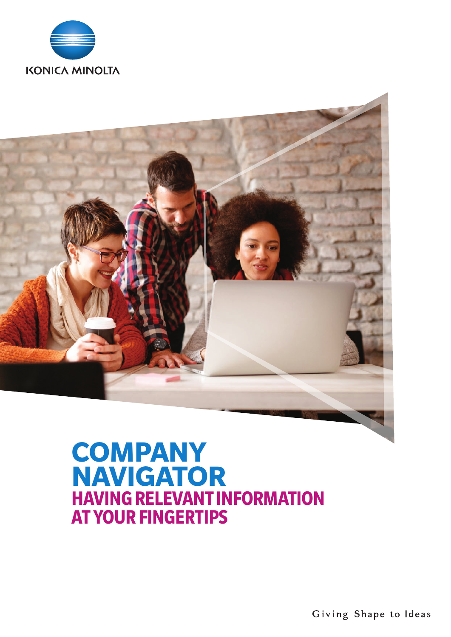



# **COMPANY NAVIGATOR HAVING RELEVANT INFORMATION AT YOUR FINGERTIPS**

Giving Shape to Ideas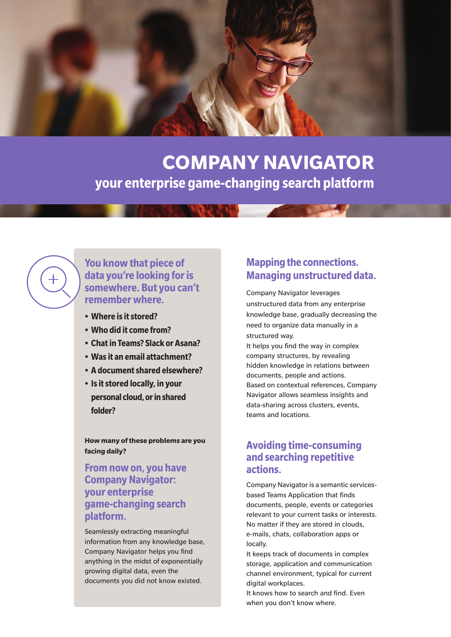

# **COMPANY NAVIGATOR your enterprise game-changing search platform**

#### **You know that piece of data you're looking for is somewhere. But you can't remember where.**

- **• Where isitstored?**
- **• Who did itcome from?**
- **• Chatin Teams? Slack or Asana?**
- **• Wasit an email attachment?**
- **• A documentshared elsewhere?**
- **• Isitstored locally, in your personal cloud, or in shared folder?**

**How many of these problems are you facing daily?**

#### **From nowon, you have Company Navigator: your enterprise game-changing search platform.**

Seamlessly extracting meaningful information from any knowledge base, Company Navigator helps you find anything in the midst of exponentially growing digital data, even the documents you did not know existed.

### **Mapping the connections. Managing unstructured data.**

Company Navigator leverages unstructured data from any enterprise knowledge base, gradually decreasing the need to organize data manually in a structured way.

It helps you find the way in complex company structures, by revealing hidden knowledge in relations between documents, people and actions. Based on contextual references, Company Navigator allows seamless insights and data-sharing across clusters, events, teams and locations.

#### **Avoiding time-consuming and searching repetitive actions.**

Company Navigator is a semantic servicesbased Teams Application that finds documents, people, events or categories relevant to your current tasks or interests. No matter if they are stored in clouds, e-mails, chats, collaboration apps or locally.

It keeps track of documents in complex storage, application and communication channel environment, typical for current digital workplaces.

It knows how to search and find. Even when you don't know where.